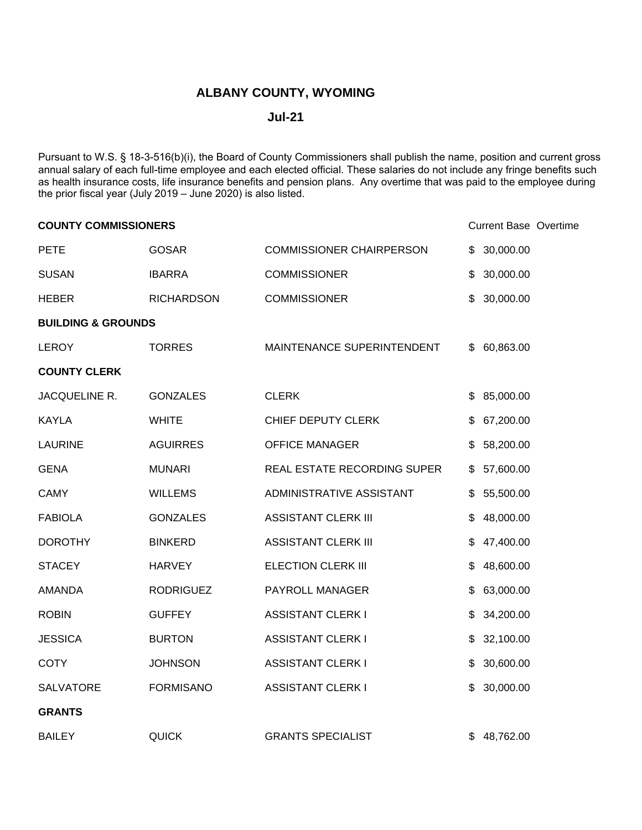## **ALBANY COUNTY, WYOMING**

## **Jul-21**

Pursuant to W.S. § 18-3-516(b)(i), the Board of County Commissioners shall publish the name, position and current gross annual salary of each full-time employee and each elected official. These salaries do not include any fringe benefits such as health insurance costs, life insurance benefits and pension plans. Any overtime that was paid to the employee during the prior fiscal year (July 2019 – June 2020) is also listed.

| <b>COUNTY COMMISSIONERS</b>   |                   |                                 | <b>Current Base Overtime</b> |  |
|-------------------------------|-------------------|---------------------------------|------------------------------|--|
| <b>PETE</b>                   | <b>GOSAR</b>      | <b>COMMISSIONER CHAIRPERSON</b> | \$<br>30,000.00              |  |
| <b>SUSAN</b>                  | <b>IBARRA</b>     | <b>COMMISSIONER</b>             | \$<br>30,000.00              |  |
| <b>HEBER</b>                  | <b>RICHARDSON</b> | <b>COMMISSIONER</b>             | \$<br>30,000.00              |  |
| <b>BUILDING &amp; GROUNDS</b> |                   |                                 |                              |  |
| <b>LEROY</b>                  | <b>TORRES</b>     | MAINTENANCE SUPERINTENDENT      | \$<br>60,863.00              |  |
| <b>COUNTY CLERK</b>           |                   |                                 |                              |  |
| JACQUELINE R.                 | <b>GONZALES</b>   | <b>CLERK</b>                    | \$<br>85,000.00              |  |
| <b>KAYLA</b>                  | <b>WHITE</b>      | CHIEF DEPUTY CLERK              | \$<br>67,200.00              |  |
| <b>LAURINE</b>                | <b>AGUIRRES</b>   | <b>OFFICE MANAGER</b>           | \$<br>58,200.00              |  |
| <b>GENA</b>                   | <b>MUNARI</b>     | REAL ESTATE RECORDING SUPER     | \$<br>57,600.00              |  |
| <b>CAMY</b>                   | <b>WILLEMS</b>    | ADMINISTRATIVE ASSISTANT        | \$<br>55,500.00              |  |
| <b>FABIOLA</b>                | <b>GONZALES</b>   | <b>ASSISTANT CLERK III</b>      | \$<br>48,000.00              |  |
| <b>DOROTHY</b>                | <b>BINKERD</b>    | <b>ASSISTANT CLERK III</b>      | \$<br>47,400.00              |  |
| <b>STACEY</b>                 | <b>HARVEY</b>     | <b>ELECTION CLERK III</b>       | \$<br>48,600.00              |  |
| <b>AMANDA</b>                 | <b>RODRIGUEZ</b>  | PAYROLL MANAGER                 | \$<br>63,000.00              |  |
| <b>ROBIN</b>                  | <b>GUFFEY</b>     | <b>ASSISTANT CLERK I</b>        | \$<br>34,200.00              |  |
| <b>JESSICA</b>                | <b>BURTON</b>     | <b>ASSISTANT CLERK I</b>        | \$<br>32,100.00              |  |
| <b>COTY</b>                   | <b>JOHNSON</b>    | <b>ASSISTANT CLERK I</b>        | \$<br>30,600.00              |  |
| <b>SALVATORE</b>              | <b>FORMISANO</b>  | <b>ASSISTANT CLERK I</b>        | \$<br>30,000.00              |  |
| <b>GRANTS</b>                 |                   |                                 |                              |  |
| <b>BAILEY</b>                 | <b>QUICK</b>      | <b>GRANTS SPECIALIST</b>        | 48,762.00                    |  |
|                               |                   |                                 |                              |  |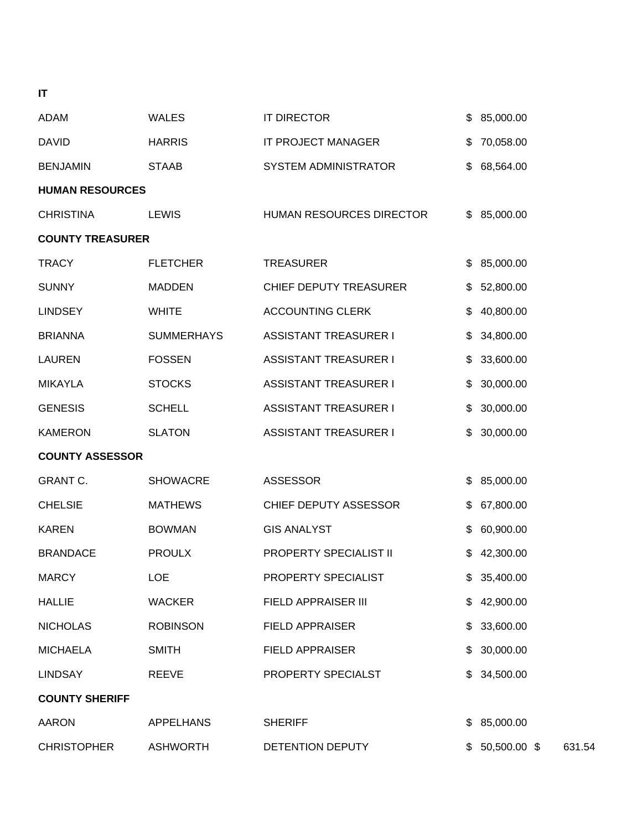| <b>ADAM</b>             | <b>WALES</b>      | <b>IT DIRECTOR</b>           | \$ | 85,000.00 |
|-------------------------|-------------------|------------------------------|----|-----------|
| <b>DAVID</b>            | <b>HARRIS</b>     | IT PROJECT MANAGER           | \$ | 70,058.00 |
| <b>BENJAMIN</b>         | STAAB             | <b>SYSTEM ADMINISTRATOR</b>  | \$ | 68,564.00 |
| <b>HUMAN RESOURCES</b>  |                   |                              |    |           |
| <b>CHRISTINA</b>        | <b>LEWIS</b>      | HUMAN RESOURCES DIRECTOR     | \$ | 85,000.00 |
| <b>COUNTY TREASURER</b> |                   |                              |    |           |
| <b>TRACY</b>            | <b>FLETCHER</b>   | <b>TREASURER</b>             | \$ | 85,000.00 |
| <b>SUNNY</b>            | <b>MADDEN</b>     | CHIEF DEPUTY TREASURER       | \$ | 52,800.00 |
| <b>LINDSEY</b>          | <b>WHITE</b>      | <b>ACCOUNTING CLERK</b>      | \$ | 40,800.00 |
| <b>BRIANNA</b>          | <b>SUMMERHAYS</b> | <b>ASSISTANT TREASURER I</b> | \$ | 34,800.00 |
| <b>LAUREN</b>           | <b>FOSSEN</b>     | <b>ASSISTANT TREASURER I</b> | \$ | 33,600.00 |
| <b>MIKAYLA</b>          | <b>STOCKS</b>     | <b>ASSISTANT TREASURER I</b> | \$ | 30,000.00 |
| <b>GENESIS</b>          | <b>SCHELL</b>     | <b>ASSISTANT TREASURER I</b> | \$ | 30,000.00 |
| <b>KAMERON</b>          | <b>SLATON</b>     | <b>ASSISTANT TREASURER I</b> | \$ | 30,000.00 |
| <b>COUNTY ASSESSOR</b>  |                   |                              |    |           |
| <b>GRANT C.</b>         | <b>SHOWACRE</b>   | <b>ASSESSOR</b>              | \$ | 85,000.00 |
| <b>CHELSIE</b>          | <b>MATHEWS</b>    | CHIEF DEPUTY ASSESSOR        | \$ | 67,800.00 |
| <b>KAREN</b>            | <b>BOWMAN</b>     | <b>GIS ANALYST</b>           | \$ | 60,900.00 |
| <b>BRANDACE</b>         | <b>PROULX</b>     | PROPERTY SPECIALIST II       | \$ | 42,300.00 |
| <b>MARCY</b>            | <b>LOE</b>        | PROPERTY SPECIALIST          | \$ | 35,400.00 |
| <b>HALLIE</b>           | <b>WACKER</b>     | FIELD APPRAISER III          | \$ | 42,900.00 |
| <b>NICHOLAS</b>         | <b>ROBINSON</b>   | <b>FIELD APPRAISER</b>       | S  | 33,600.00 |

MICHAELA SMITH FIELD APPRAISER \$ 30,000.00

LINDSAY REEVE PROPERTY SPECIALST \$ 34,500.00

AARON APPELHANS SHERIFF \$ 85,000.00

CHRISTOPHER ASHWORTH DETENTION DEPUTY \$ 50,500.00 \$ 631.54

**IT**

**COUNTY SHERIFF**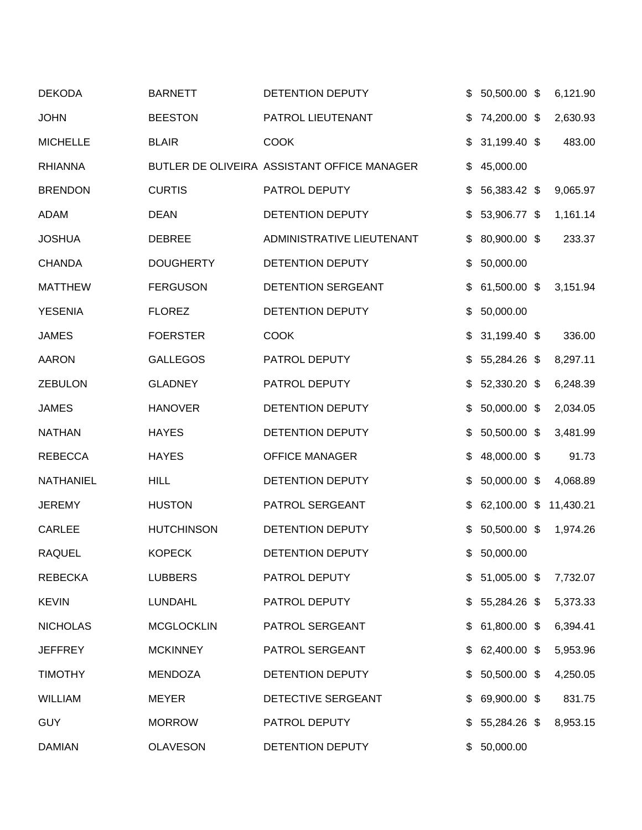| <b>DEKODA</b>   | <b>BARNETT</b>    | DETENTION DEPUTY                            | 50,500.00 \$       | 6,121.90  |
|-----------------|-------------------|---------------------------------------------|--------------------|-----------|
| <b>JOHN</b>     | <b>BEESTON</b>    | PATROL LIEUTENANT                           | \$<br>74,200.00 \$ | 2,630.93  |
| <b>MICHELLE</b> | <b>BLAIR</b>      | <b>COOK</b>                                 | \$<br>31,199.40 \$ | 483.00    |
| <b>RHIANNA</b>  |                   | BUTLER DE OLIVEIRA ASSISTANT OFFICE MANAGER | \$<br>45,000.00    |           |
| <b>BRENDON</b>  | <b>CURTIS</b>     | PATROL DEPUTY                               | \$<br>56,383.42 \$ | 9,065.97  |
| <b>ADAM</b>     | <b>DEAN</b>       | DETENTION DEPUTY                            | \$<br>53,906.77 \$ | 1,161.14  |
| <b>JOSHUA</b>   | <b>DEBREE</b>     | ADMINISTRATIVE LIEUTENANT                   | \$<br>80,900.00 \$ | 233.37    |
| <b>CHANDA</b>   | <b>DOUGHERTY</b>  | DETENTION DEPUTY                            | \$<br>50,000.00    |           |
| <b>MATTHEW</b>  | <b>FERGUSON</b>   | DETENTION SERGEANT                          | \$<br>61,500.00 \$ | 3,151.94  |
| <b>YESENIA</b>  | <b>FLOREZ</b>     | <b>DETENTION DEPUTY</b>                     | \$<br>50,000.00    |           |
| <b>JAMES</b>    | <b>FOERSTER</b>   | <b>COOK</b>                                 | 31,199.40 \$       | 336.00    |
| <b>AARON</b>    | <b>GALLEGOS</b>   | PATROL DEPUTY                               | \$<br>55,284.26 \$ | 8,297.11  |
| <b>ZEBULON</b>  | <b>GLADNEY</b>    | PATROL DEPUTY                               | \$<br>52,330.20 \$ | 6,248.39  |
| <b>JAMES</b>    | <b>HANOVER</b>    | DETENTION DEPUTY                            | \$<br>50,000.00 \$ | 2,034.05  |
| <b>NATHAN</b>   | <b>HAYES</b>      | DETENTION DEPUTY                            | \$<br>50,500.00 \$ | 3,481.99  |
| <b>REBECCA</b>  | <b>HAYES</b>      | <b>OFFICE MANAGER</b>                       | \$<br>48,000.00 \$ | 91.73     |
| NATHANIEL       | <b>HILL</b>       | DETENTION DEPUTY                            | \$<br>50,000.00 \$ | 4,068.89  |
| <b>JEREMY</b>   | <b>HUSTON</b>     | PATROL SERGEANT                             | \$<br>62,100.00 \$ | 11,430.21 |
| <b>CARLEE</b>   | <b>HUTCHINSON</b> | DETENTION DEPUTY                            | \$<br>50,500.00 \$ | 1,974.26  |
| <b>RAQUEL</b>   | <b>KOPECK</b>     | DETENTION DEPUTY                            | \$50,000.00        |           |
| <b>REBECKA</b>  | <b>LUBBERS</b>    | PATROL DEPUTY                               | $$51,005.00$ \$    | 7,732.07  |
| <b>KEVIN</b>    | <b>LUNDAHL</b>    | PATROL DEPUTY                               | \$<br>55,284.26 \$ | 5,373.33  |
| <b>NICHOLAS</b> | <b>MCGLOCKLIN</b> | PATROL SERGEANT                             | 61,800.00 \$       | 6,394.41  |
| <b>JEFFREY</b>  | <b>MCKINNEY</b>   | PATROL SERGEANT                             | 62,400.00 \$       | 5,953.96  |
| <b>TIMOTHY</b>  | <b>MENDOZA</b>    | DETENTION DEPUTY                            | \$<br>50,500.00 \$ | 4,250.05  |
| <b>WILLIAM</b>  | <b>MEYER</b>      | DETECTIVE SERGEANT                          | \$<br>69,900.00 \$ | 831.75    |
| <b>GUY</b>      | <b>MORROW</b>     | PATROL DEPUTY                               | $$5,284.26$ \$     | 8,953.15  |
| <b>DAMIAN</b>   | <b>OLAVESON</b>   | DETENTION DEPUTY                            | \$50,000.00        |           |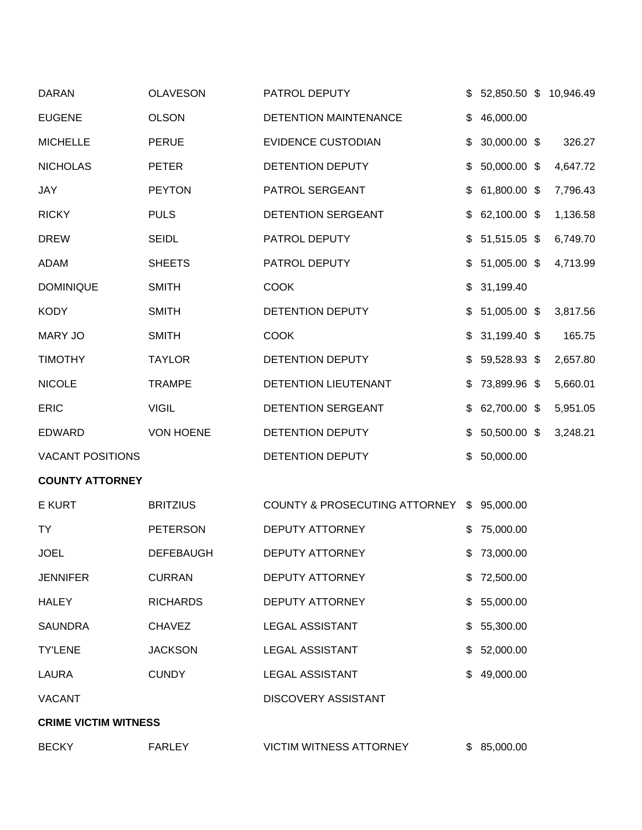| <b>DARAN</b>                | <b>OLAVESON</b>  | PATROL DEPUTY                  | \$ | 52,850.50 \$ 10,946.49 |          |
|-----------------------------|------------------|--------------------------------|----|------------------------|----------|
| <b>EUGENE</b>               | <b>OLSON</b>     | DETENTION MAINTENANCE          | \$ | 46,000.00              |          |
| <b>MICHELLE</b>             | <b>PERUE</b>     | <b>EVIDENCE CUSTODIAN</b>      | \$ | 30,000.00 \$           | 326.27   |
| <b>NICHOLAS</b>             | <b>PETER</b>     | DETENTION DEPUTY               | \$ | 50,000.00 \$           | 4,647.72 |
| JAY                         | <b>PEYTON</b>    | PATROL SERGEANT                | \$ | 61,800.00 \$           | 7,796.43 |
| <b>RICKY</b>                | <b>PULS</b>      | DETENTION SERGEANT             | \$ | 62,100.00 \$           | 1,136.58 |
| <b>DREW</b>                 | <b>SEIDL</b>     | PATROL DEPUTY                  | \$ | 51,515.05 \$           | 6,749.70 |
| <b>ADAM</b>                 | <b>SHEETS</b>    | PATROL DEPUTY                  | \$ | 51,005.00 \$           | 4,713.99 |
| <b>DOMINIQUE</b>            | <b>SMITH</b>     | <b>COOK</b>                    | \$ | 31,199.40              |          |
| <b>KODY</b>                 | <b>SMITH</b>     | <b>DETENTION DEPUTY</b>        |    | 51,005.00 \$           | 3,817.56 |
| <b>MARY JO</b>              | <b>SMITH</b>     | <b>COOK</b>                    | \$ | 31,199.40 \$           | 165.75   |
| <b>TIMOTHY</b>              | <b>TAYLOR</b>    | DETENTION DEPUTY               | S  | 59,528.93 \$           | 2,657.80 |
| <b>NICOLE</b>               | <b>TRAMPE</b>    | <b>DETENTION LIEUTENANT</b>    | \$ | 73,899.96 \$           | 5,660.01 |
| <b>ERIC</b>                 | <b>VIGIL</b>     | DETENTION SERGEANT             | \$ | 62,700.00 \$           | 5,951.05 |
| <b>EDWARD</b>               | <b>VON HOENE</b> | DETENTION DEPUTY               |    | 50,500.00 \$           | 3,248.21 |
| <b>VACANT POSITIONS</b>     |                  | DETENTION DEPUTY               | \$ | 50,000.00              |          |
| <b>COUNTY ATTORNEY</b>      |                  |                                |    |                        |          |
| <b>E KURT</b>               | <b>BRITZIUS</b>  | COUNTY & PROSECUTING ATTORNEY  | \$ | 95,000.00              |          |
| TY                          | <b>PETERSON</b>  | <b>DEPUTY ATTORNEY</b>         |    | 75,000.00              |          |
| <b>JOEL</b>                 | <b>DEFEBAUGH</b> | DEPUTY ATTORNEY                |    | \$73,000.00            |          |
| <b>JENNIFER</b>             | <b>CURRAN</b>    | DEPUTY ATTORNEY                |    | \$72,500.00            |          |
| <b>HALEY</b>                | <b>RICHARDS</b>  | DEPUTY ATTORNEY                |    | 55,000.00              |          |
| <b>SAUNDRA</b>              | <b>CHAVEZ</b>    | <b>LEGAL ASSISTANT</b>         |    | 55,300.00              |          |
| <b>TY'LENE</b>              | <b>JACKSON</b>   | <b>LEGAL ASSISTANT</b>         | \$ | 52,000.00              |          |
| LAURA                       | <b>CUNDY</b>     | <b>LEGAL ASSISTANT</b>         |    | 49,000.00              |          |
| <b>VACANT</b>               |                  | <b>DISCOVERY ASSISTANT</b>     |    |                        |          |
| <b>CRIME VICTIM WITNESS</b> |                  |                                |    |                        |          |
| <b>BECKY</b>                | <b>FARLEY</b>    | <b>VICTIM WITNESS ATTORNEY</b> |    | \$85,000.00            |          |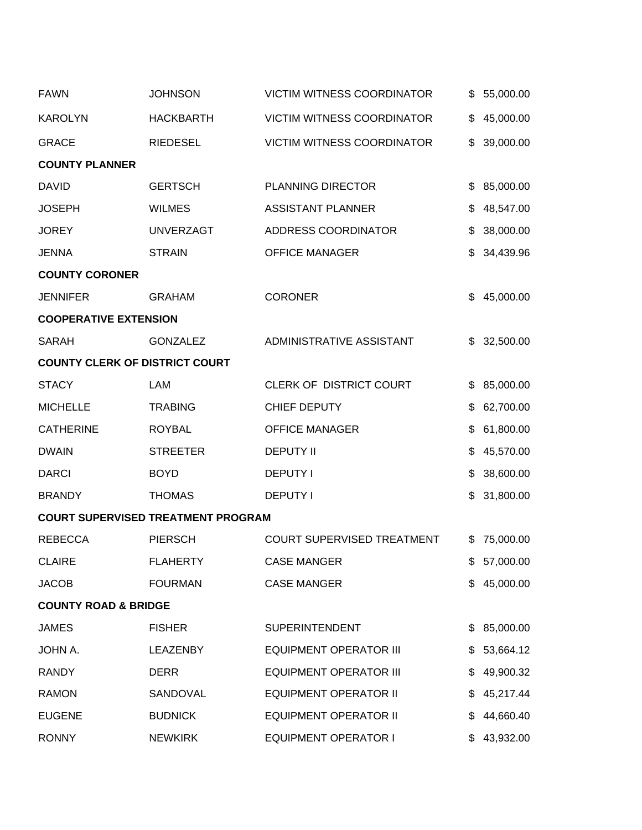| <b>FAWN</b>                           | <b>JOHNSON</b>                            | <b>VICTIM WITNESS COORDINATOR</b> | \$<br>55,000.00 |
|---------------------------------------|-------------------------------------------|-----------------------------------|-----------------|
| <b>KAROLYN</b>                        | <b>HACKBARTH</b>                          | <b>VICTIM WITNESS COORDINATOR</b> | \$<br>45,000.00 |
| <b>GRACE</b>                          | <b>RIEDESEL</b>                           | <b>VICTIM WITNESS COORDINATOR</b> | \$<br>39,000.00 |
| <b>COUNTY PLANNER</b>                 |                                           |                                   |                 |
| <b>DAVID</b>                          | <b>GERTSCH</b>                            | <b>PLANNING DIRECTOR</b>          | \$<br>85,000.00 |
| <b>JOSEPH</b>                         | <b>WILMES</b>                             | <b>ASSISTANT PLANNER</b>          | \$<br>48,547.00 |
| <b>JOREY</b>                          | <b>UNVERZAGT</b>                          | ADDRESS COORDINATOR               | \$<br>38,000.00 |
| <b>JENNA</b>                          | <b>STRAIN</b>                             | <b>OFFICE MANAGER</b>             | \$<br>34,439.96 |
| <b>COUNTY CORONER</b>                 |                                           |                                   |                 |
| <b>JENNIFER</b>                       | <b>GRAHAM</b>                             | <b>CORONER</b>                    | \$<br>45,000.00 |
| <b>COOPERATIVE EXTENSION</b>          |                                           |                                   |                 |
| <b>SARAH</b>                          | <b>GONZALEZ</b>                           | ADMINISTRATIVE ASSISTANT          | \$32,500.00     |
| <b>COUNTY CLERK OF DISTRICT COURT</b> |                                           |                                   |                 |
| <b>STACY</b>                          | LAM                                       | CLERK OF DISTRICT COURT           | \$<br>85,000.00 |
| <b>MICHELLE</b>                       | <b>TRABING</b>                            | CHIEF DEPUTY                      | \$<br>62,700.00 |
| <b>CATHERINE</b>                      | <b>ROYBAL</b>                             | <b>OFFICE MANAGER</b>             | \$<br>61,800.00 |
| <b>DWAIN</b>                          | <b>STREETER</b>                           | <b>DEPUTY II</b>                  | \$<br>45,570.00 |
| <b>DARCI</b>                          | <b>BOYD</b>                               | <b>DEPUTY I</b>                   | \$<br>38,600.00 |
| <b>BRANDY</b>                         | <b>THOMAS</b>                             | <b>DEPUTY I</b>                   | \$<br>31,800.00 |
|                                       | <b>COURT SUPERVISED TREATMENT PROGRAM</b> |                                   |                 |
| <b>REBECCA</b>                        | <b>PIERSCH</b>                            | <b>COURT SUPERVISED TREATMENT</b> | \$<br>75,000.00 |
| <b>CLAIRE</b>                         | <b>FLAHERTY</b>                           | <b>CASE MANGER</b>                | \$57,000.00     |
| <b>JACOB</b>                          | <b>FOURMAN</b>                            | <b>CASE MANGER</b>                | \$<br>45,000.00 |
| <b>COUNTY ROAD &amp; BRIDGE</b>       |                                           |                                   |                 |
| <b>JAMES</b>                          | <b>FISHER</b>                             | <b>SUPERINTENDENT</b>             | \$<br>85,000.00 |
| JOHN A.                               | <b>LEAZENBY</b>                           | <b>EQUIPMENT OPERATOR III</b>     | \$<br>53,664.12 |
| <b>RANDY</b>                          | <b>DERR</b>                               | <b>EQUIPMENT OPERATOR III</b>     | \$<br>49,900.32 |
| <b>RAMON</b>                          | SANDOVAL                                  | <b>EQUIPMENT OPERATOR II</b>      | 45,217.44       |
| <b>EUGENE</b>                         | <b>BUDNICK</b>                            | <b>EQUIPMENT OPERATOR II</b>      | \$<br>44,660.40 |
| <b>RONNY</b>                          | <b>NEWKIRK</b>                            | <b>EQUIPMENT OPERATOR I</b>       | 43,932.00       |